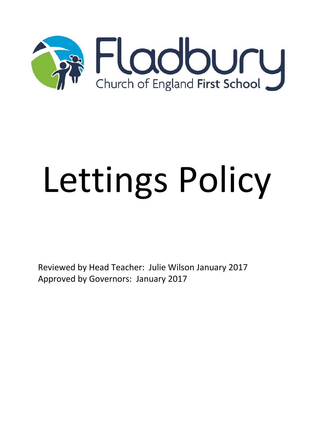

## Lettings Policy

Reviewed by Head Teacher: Julie Wilson January 2017 Approved by Governors: January 2017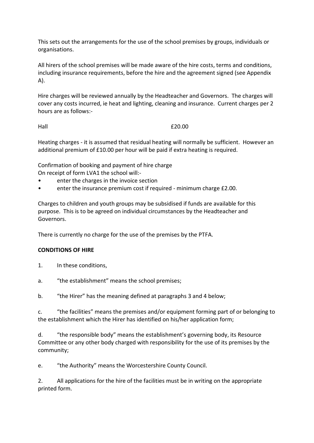This sets out the arrangements for the use of the school premises by groups, individuals or organisations.

All hirers of the school premises will be made aware of the hire costs, terms and conditions, including insurance requirements, before the hire and the agreement signed (see Appendix A).

Hire charges will be reviewed annually by the Headteacher and Governors. The charges will cover any costs incurred, ie heat and lighting, cleaning and insurance. Current charges per 2 hours are as follows:-

Hall E20.00

Heating charges - it is assumed that residual heating will normally be sufficient. However an additional premium of £10.00 per hour will be paid if extra heating is required.

Confirmation of booking and payment of hire charge

On receipt of form LVA1 the school will:-

- enter the charges in the invoice section
- enter the insurance premium cost if required minimum charge £2.00.

Charges to children and youth groups may be subsidised if funds are available for this purpose. This is to be agreed on individual circumstances by the Headteacher and Governors.

There is currently no charge for the use of the premises by the PTFA.

## **CONDITIONS OF HIRE**

- 1. In these conditions,
- a. "the establishment" means the school premises;

b. "the Hirer" has the meaning defined at paragraphs 3 and 4 below;

c. "the facilities" means the premises and/or equipment forming part of or belonging to the establishment which the Hirer has identified on his/her application form;

d. "the responsible body" means the establishment's governing body, its Resource Committee or any other body charged with responsibility for the use of its premises by the community;

e. "the Authority" means the Worcestershire County Council.

2. All applications for the hire of the facilities must be in writing on the appropriate printed form.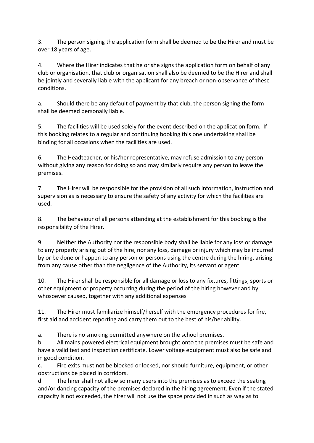3. The person signing the application form shall be deemed to be the Hirer and must be over 18 years of age.

4. Where the Hirer indicates that he or she signs the application form on behalf of any club or organisation, that club or organisation shall also be deemed to be the Hirer and shall be jointly and severally liable with the applicant for any breach or non-observance of these conditions.

a. Should there be any default of payment by that club, the person signing the form shall be deemed personally liable.

5. The facilities will be used solely for the event described on the application form. If this booking relates to a regular and continuing booking this one undertaking shall be binding for all occasions when the facilities are used.

6. The Headteacher, or his/her representative, may refuse admission to any person without giving any reason for doing so and may similarly require any person to leave the premises.

7. The Hirer will be responsible for the provision of all such information, instruction and supervision as is necessary to ensure the safety of any activity for which the facilities are used.

8. The behaviour of all persons attending at the establishment for this booking is the responsibility of the Hirer.

9. Neither the Authority nor the responsible body shall be liable for any loss or damage to any property arising out of the hire, nor any loss, damage or injury which may be incurred by or be done or happen to any person or persons using the centre during the hiring, arising from any cause other than the negligence of the Authority, its servant or agent.

10. The Hirer shall be responsible for all damage or loss to any fixtures, fittings, sports or other equipment or property occurring during the period of the hiring however and by whosoever caused, together with any additional expenses

11. The Hirer must familiarize himself/herself with the emergency procedures for fire, first aid and accident reporting and carry them out to the best of his/her ability.

a. There is no smoking permitted anywhere on the school premises.

b. All mains powered electrical equipment brought onto the premises must be safe and have a valid test and inspection certificate. Lower voltage equipment must also be safe and in good condition.

c. Fire exits must not be blocked or locked, nor should furniture, equipment, or other obstructions be placed in corridors.

d. The hirer shall not allow so many users into the premises as to exceed the seating and/or dancing capacity of the premises declared in the hiring agreement. Even if the stated capacity is not exceeded, the hirer will not use the space provided in such as way as to